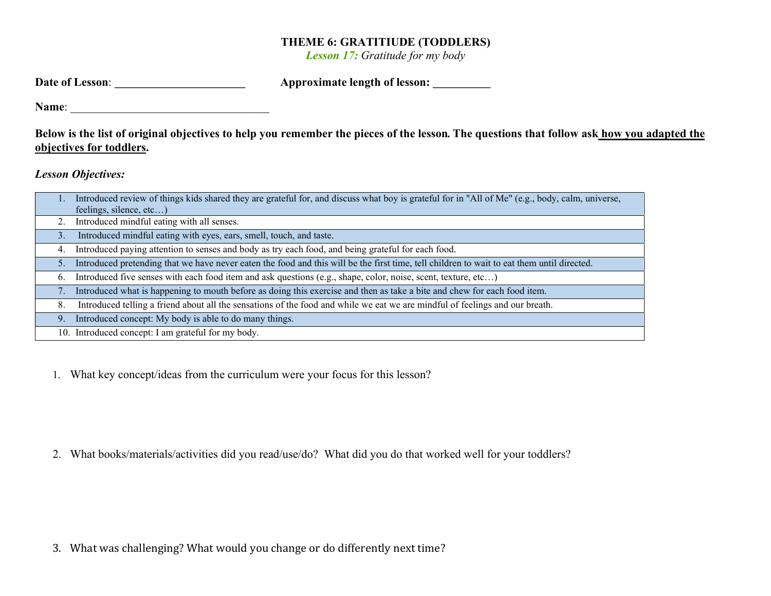## THEME 6: GRATITIUDE (TODDLERS)

Lesson 17: Gratitude for my body

| Date of Lesson: | Approximate length of lesson: |  |
|-----------------|-------------------------------|--|
|                 |                               |  |

Name: \_\_\_\_\_\_\_\_\_\_\_\_\_\_\_\_\_\_\_\_\_\_\_\_\_\_\_\_\_\_\_\_\_\_

Below is the list of original objectives to help you remember the pieces of the lesson. The questions that follow ask how you adapted the objectives for toddlers.

Lesson Objectives:

|    | Introduced review of things kids shared they are grateful for, and discuss what boy is grateful for in "All of Me" (e.g., body, calm, universe, |
|----|-------------------------------------------------------------------------------------------------------------------------------------------------|
|    | feelings, silence, etc)                                                                                                                         |
| 2. | Introduced mindful eating with all senses.                                                                                                      |
| 3. | Introduced mindful eating with eyes, ears, smell, touch, and taste.                                                                             |
| 4. | Introduced paying attention to senses and body as try each food, and being grateful for each food.                                              |
| 5. | Introduced pretending that we have never eaten the food and this will be the first time, tell children to wait to eat them until directed.      |
| 6. | Introduced five senses with each food item and ask questions (e.g., shape, color, noise, scent, texture, etc)                                   |
|    | Introduced what is happening to mouth before as doing this exercise and then as take a bite and chew for each food item.                        |
| 8. | Introduced telling a friend about all the sensations of the food and while we eat we are mindful of feelings and our breath.                    |
| 9. | Introduced concept: My body is able to do many things.                                                                                          |
|    | 10. Introduced concept: I am grateful for my body.                                                                                              |

1. What key concept/ideas from the curriculum were your focus for this lesson?

2. What books/materials/activities did you read/use/do? What did you do that worked well for your toddlers?

3. What was challenging? What would you change or do differently next time?